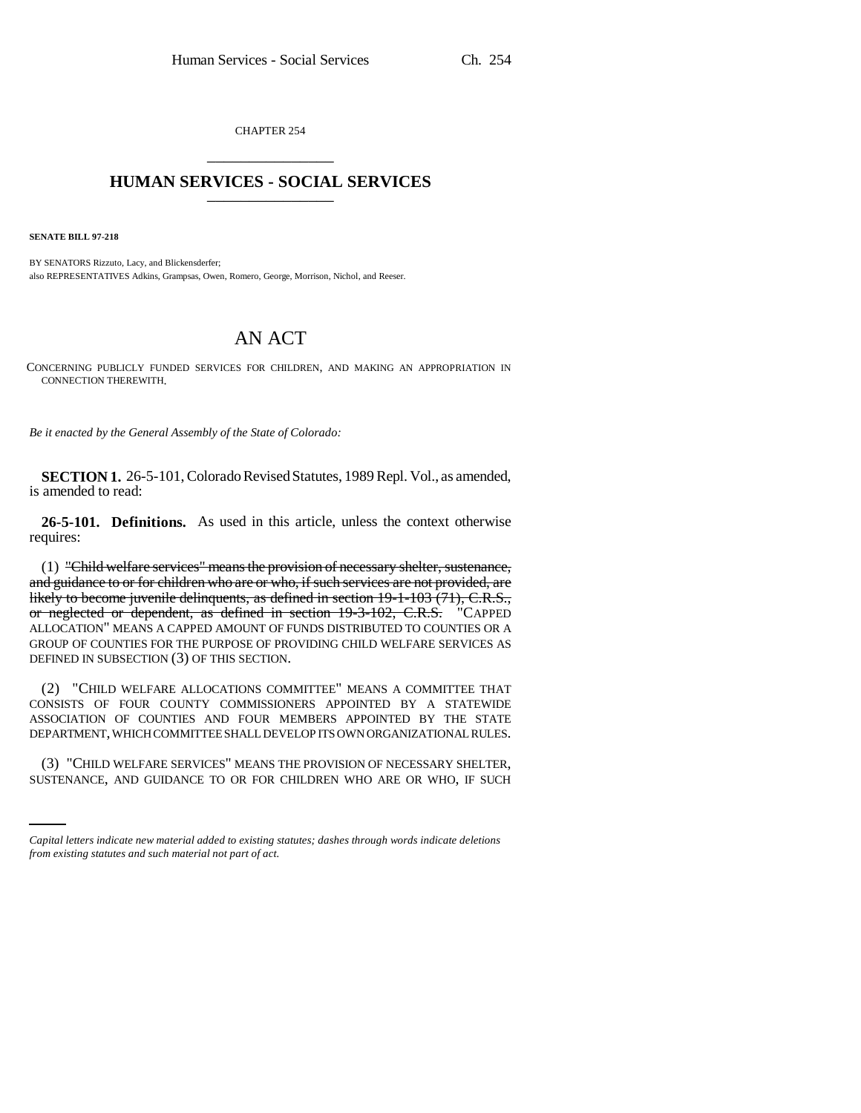CHAPTER 254 \_\_\_\_\_\_\_\_\_\_\_\_\_\_\_

## **HUMAN SERVICES - SOCIAL SERVICES** \_\_\_\_\_\_\_\_\_\_\_\_\_\_\_

**SENATE BILL 97-218**

BY SENATORS Rizzuto, Lacy, and Blickensderfer; also REPRESENTATIVES Adkins, Grampsas, Owen, Romero, George, Morrison, Nichol, and Reeser.

## AN ACT

CONCERNING PUBLICLY FUNDED SERVICES FOR CHILDREN, AND MAKING AN APPROPRIATION IN CONNECTION THEREWITH.

*Be it enacted by the General Assembly of the State of Colorado:*

**SECTION 1.** 26-5-101, Colorado Revised Statutes, 1989 Repl. Vol., as amended, is amended to read:

**26-5-101. Definitions.** As used in this article, unless the context otherwise requires:

(1) "Child welfare services" means the provision of necessary shelter, sustenance, and guidance to or for children who are or who, if such services are not provided, are likely to become juvenile delinquents, as defined in section 19-1-103 (71), C.R.S., or neglected or dependent, as defined in section 19-3-102, C.R.S. "CAPPED ALLOCATION" MEANS A CAPPED AMOUNT OF FUNDS DISTRIBUTED TO COUNTIES OR A GROUP OF COUNTIES FOR THE PURPOSE OF PROVIDING CHILD WELFARE SERVICES AS DEFINED IN SUBSECTION (3) OF THIS SECTION.

(2) "CHILD WELFARE ALLOCATIONS COMMITTEE" MEANS A COMMITTEE THAT CONSISTS OF FOUR COUNTY COMMISSIONERS APPOINTED BY A STATEWIDE ASSOCIATION OF COUNTIES AND FOUR MEMBERS APPOINTED BY THE STATE DEPARTMENT, WHICH COMMITTEE SHALL DEVELOP ITS OWN ORGANIZATIONAL RULES.

(3) "CHILD WELFARE SERVICES" MEANS THE PROVISION OF NECESSARY SHELTER, SUSTENANCE, AND GUIDANCE TO OR FOR CHILDREN WHO ARE OR WHO, IF SUCH

*Capital letters indicate new material added to existing statutes; dashes through words indicate deletions from existing statutes and such material not part of act.*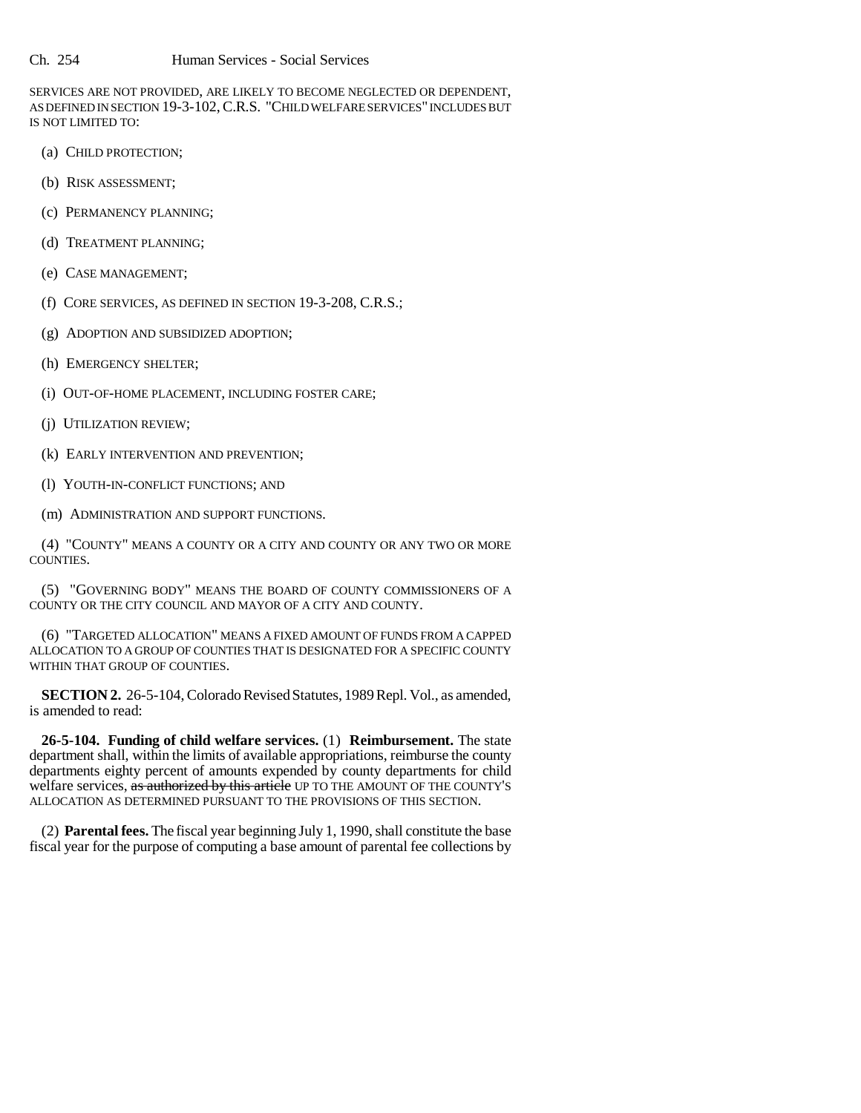SERVICES ARE NOT PROVIDED, ARE LIKELY TO BECOME NEGLECTED OR DEPENDENT, AS DEFINED IN SECTION 19-3-102, C.R.S. "CHILD WELFARE SERVICES" INCLUDES BUT IS NOT LIMITED TO:

- (a) CHILD PROTECTION;
- (b) RISK ASSESSMENT;
- (c) PERMANENCY PLANNING;
- (d) TREATMENT PLANNING;
- (e) CASE MANAGEMENT;
- (f) CORE SERVICES, AS DEFINED IN SECTION 19-3-208, C.R.S.;
- (g) ADOPTION AND SUBSIDIZED ADOPTION;
- (h) EMERGENCY SHELTER;
- (i) OUT-OF-HOME PLACEMENT, INCLUDING FOSTER CARE;
- (j) UTILIZATION REVIEW;
- (k) EARLY INTERVENTION AND PREVENTION;
- (l) YOUTH-IN-CONFLICT FUNCTIONS; AND
- (m) ADMINISTRATION AND SUPPORT FUNCTIONS.

(4) "COUNTY" MEANS A COUNTY OR A CITY AND COUNTY OR ANY TWO OR MORE COUNTIES.

(5) "GOVERNING BODY" MEANS THE BOARD OF COUNTY COMMISSIONERS OF A COUNTY OR THE CITY COUNCIL AND MAYOR OF A CITY AND COUNTY.

(6) "TARGETED ALLOCATION" MEANS A FIXED AMOUNT OF FUNDS FROM A CAPPED ALLOCATION TO A GROUP OF COUNTIES THAT IS DESIGNATED FOR A SPECIFIC COUNTY WITHIN THAT GROUP OF COUNTIES.

**SECTION 2.** 26-5-104, Colorado Revised Statutes, 1989 Repl. Vol., as amended, is amended to read:

**26-5-104. Funding of child welfare services.** (1) **Reimbursement.** The state department shall, within the limits of available appropriations, reimburse the county departments eighty percent of amounts expended by county departments for child welfare services, as authorized by this article UP TO THE AMOUNT OF THE COUNTY'S ALLOCATION AS DETERMINED PURSUANT TO THE PROVISIONS OF THIS SECTION.

(2) **Parental fees.** The fiscal year beginning July 1, 1990, shall constitute the base fiscal year for the purpose of computing a base amount of parental fee collections by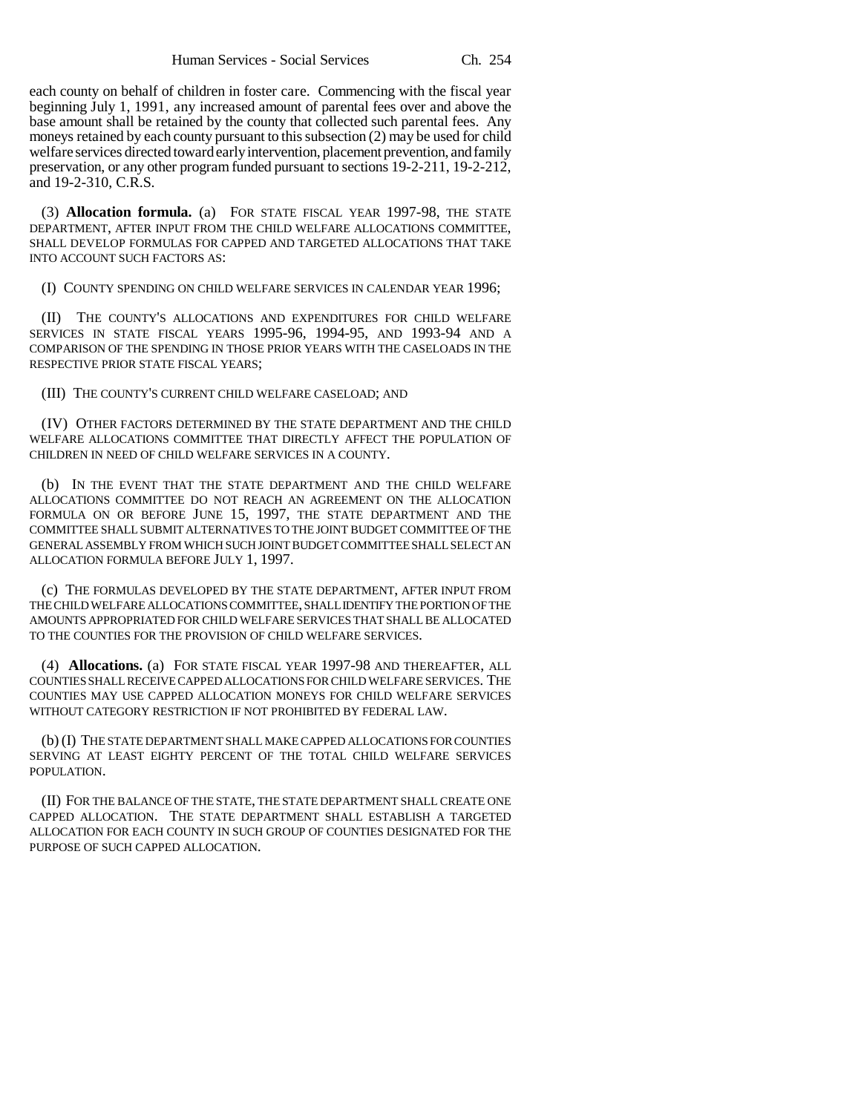each county on behalf of children in foster care. Commencing with the fiscal year beginning July 1, 1991, any increased amount of parental fees over and above the base amount shall be retained by the county that collected such parental fees. Any moneys retained by each county pursuant to this subsection (2) may be used for child welfare services directed toward early intervention, placement prevention, and family preservation, or any other program funded pursuant to sections 19-2-211, 19-2-212, and 19-2-310, C.R.S.

(3) **Allocation formula.** (a) FOR STATE FISCAL YEAR 1997-98, THE STATE DEPARTMENT, AFTER INPUT FROM THE CHILD WELFARE ALLOCATIONS COMMITTEE, SHALL DEVELOP FORMULAS FOR CAPPED AND TARGETED ALLOCATIONS THAT TAKE INTO ACCOUNT SUCH FACTORS AS:

(I) COUNTY SPENDING ON CHILD WELFARE SERVICES IN CALENDAR YEAR 1996;

(II) THE COUNTY'S ALLOCATIONS AND EXPENDITURES FOR CHILD WELFARE SERVICES IN STATE FISCAL YEARS 1995-96, 1994-95, AND 1993-94 AND A COMPARISON OF THE SPENDING IN THOSE PRIOR YEARS WITH THE CASELOADS IN THE RESPECTIVE PRIOR STATE FISCAL YEARS;

(III) THE COUNTY'S CURRENT CHILD WELFARE CASELOAD; AND

(IV) OTHER FACTORS DETERMINED BY THE STATE DEPARTMENT AND THE CHILD WELFARE ALLOCATIONS COMMITTEE THAT DIRECTLY AFFECT THE POPULATION OF CHILDREN IN NEED OF CHILD WELFARE SERVICES IN A COUNTY.

(b) IN THE EVENT THAT THE STATE DEPARTMENT AND THE CHILD WELFARE ALLOCATIONS COMMITTEE DO NOT REACH AN AGREEMENT ON THE ALLOCATION FORMULA ON OR BEFORE JUNE 15, 1997, THE STATE DEPARTMENT AND THE COMMITTEE SHALL SUBMIT ALTERNATIVES TO THE JOINT BUDGET COMMITTEE OF THE GENERAL ASSEMBLY FROM WHICH SUCH JOINT BUDGET COMMITTEE SHALL SELECT AN ALLOCATION FORMULA BEFORE JULY 1, 1997.

(c) THE FORMULAS DEVELOPED BY THE STATE DEPARTMENT, AFTER INPUT FROM THE CHILD WELFARE ALLOCATIONS COMMITTEE, SHALL IDENTIFY THE PORTION OF THE AMOUNTS APPROPRIATED FOR CHILD WELFARE SERVICES THAT SHALL BE ALLOCATED TO THE COUNTIES FOR THE PROVISION OF CHILD WELFARE SERVICES.

(4) **Allocations.** (a) FOR STATE FISCAL YEAR 1997-98 AND THEREAFTER, ALL COUNTIES SHALL RECEIVE CAPPED ALLOCATIONS FOR CHILD WELFARE SERVICES. THE COUNTIES MAY USE CAPPED ALLOCATION MONEYS FOR CHILD WELFARE SERVICES WITHOUT CATEGORY RESTRICTION IF NOT PROHIBITED BY FEDERAL LAW.

(b) (I) THE STATE DEPARTMENT SHALL MAKE CAPPED ALLOCATIONS FOR COUNTIES SERVING AT LEAST EIGHTY PERCENT OF THE TOTAL CHILD WELFARE SERVICES POPULATION.

(II) FOR THE BALANCE OF THE STATE, THE STATE DEPARTMENT SHALL CREATE ONE CAPPED ALLOCATION. THE STATE DEPARTMENT SHALL ESTABLISH A TARGETED ALLOCATION FOR EACH COUNTY IN SUCH GROUP OF COUNTIES DESIGNATED FOR THE PURPOSE OF SUCH CAPPED ALLOCATION.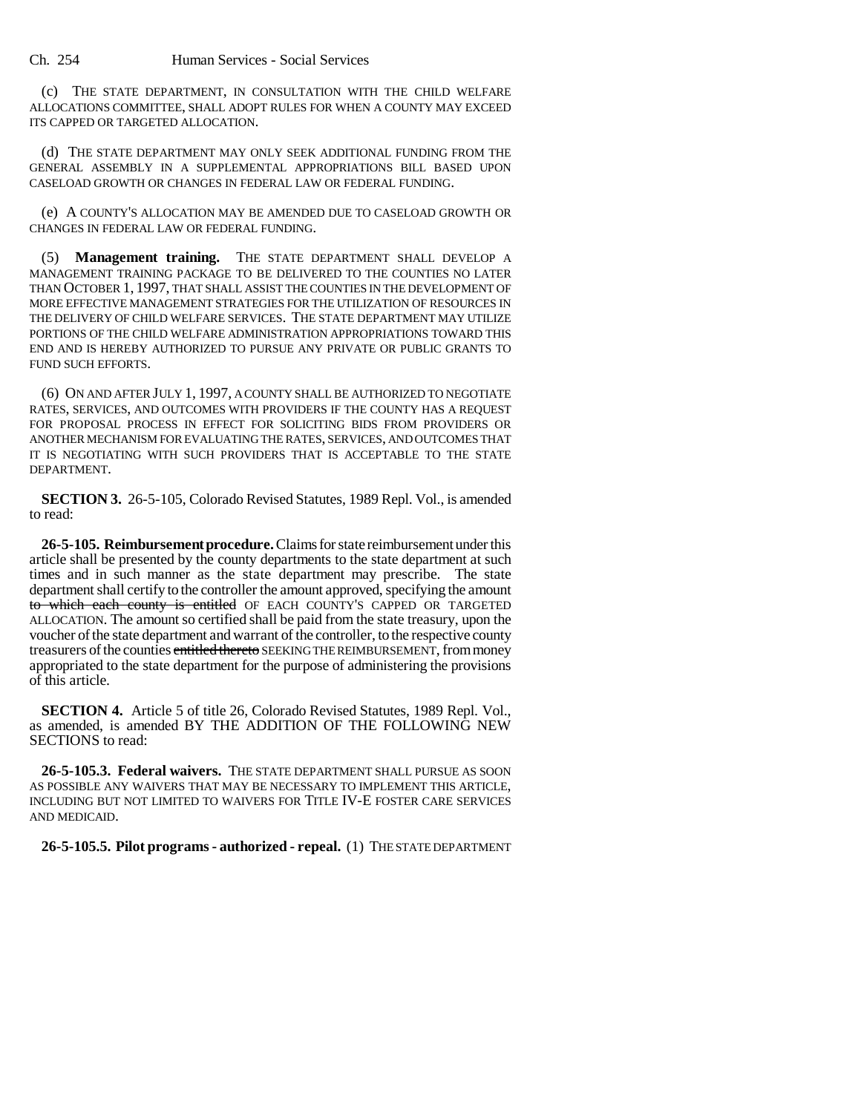(c) THE STATE DEPARTMENT, IN CONSULTATION WITH THE CHILD WELFARE ALLOCATIONS COMMITTEE, SHALL ADOPT RULES FOR WHEN A COUNTY MAY EXCEED ITS CAPPED OR TARGETED ALLOCATION.

(d) THE STATE DEPARTMENT MAY ONLY SEEK ADDITIONAL FUNDING FROM THE GENERAL ASSEMBLY IN A SUPPLEMENTAL APPROPRIATIONS BILL BASED UPON CASELOAD GROWTH OR CHANGES IN FEDERAL LAW OR FEDERAL FUNDING.

(e) A COUNTY'S ALLOCATION MAY BE AMENDED DUE TO CASELOAD GROWTH OR CHANGES IN FEDERAL LAW OR FEDERAL FUNDING.

(5) **Management training.** THE STATE DEPARTMENT SHALL DEVELOP A MANAGEMENT TRAINING PACKAGE TO BE DELIVERED TO THE COUNTIES NO LATER THAN OCTOBER 1, 1997, THAT SHALL ASSIST THE COUNTIES IN THE DEVELOPMENT OF MORE EFFECTIVE MANAGEMENT STRATEGIES FOR THE UTILIZATION OF RESOURCES IN THE DELIVERY OF CHILD WELFARE SERVICES. THE STATE DEPARTMENT MAY UTILIZE PORTIONS OF THE CHILD WELFARE ADMINISTRATION APPROPRIATIONS TOWARD THIS END AND IS HEREBY AUTHORIZED TO PURSUE ANY PRIVATE OR PUBLIC GRANTS TO FUND SUCH EFFORTS.

(6) ON AND AFTER JULY 1, 1997, A COUNTY SHALL BE AUTHORIZED TO NEGOTIATE RATES, SERVICES, AND OUTCOMES WITH PROVIDERS IF THE COUNTY HAS A REQUEST FOR PROPOSAL PROCESS IN EFFECT FOR SOLICITING BIDS FROM PROVIDERS OR ANOTHER MECHANISM FOR EVALUATING THE RATES, SERVICES, AND OUTCOMES THAT IT IS NEGOTIATING WITH SUCH PROVIDERS THAT IS ACCEPTABLE TO THE STATE DEPARTMENT.

**SECTION 3.** 26-5-105, Colorado Revised Statutes, 1989 Repl. Vol., is amended to read:

**26-5-105. Reimbursement procedure.** Claims for state reimbursement under this article shall be presented by the county departments to the state department at such times and in such manner as the state department may prescribe. The state department shall certify to the controller the amount approved, specifying the amount to which each county is entitled OF EACH COUNTY'S CAPPED OR TARGETED ALLOCATION. The amount so certified shall be paid from the state treasury, upon the voucher of the state department and warrant of the controller, to the respective county treasurers of the counties entitled thereto SEEKING THE REIMBURSEMENT, from money appropriated to the state department for the purpose of administering the provisions of this article.

**SECTION 4.** Article 5 of title 26, Colorado Revised Statutes, 1989 Repl. Vol., as amended, is amended BY THE ADDITION OF THE FOLLOWING NEW SECTIONS to read:

**26-5-105.3. Federal waivers.** The state department shall pursue as soon as possible any waivers that may be necessary to implement this article. INCLUDING BUT NOT LIMITED TO WAIVERS FOR TITLE IV-E FOSTER CARE SERVICES AND MEDICAID.

**26-5-105.5. Pilot programs - authorized - repeal.** (1) THE STATE DEPARTMENT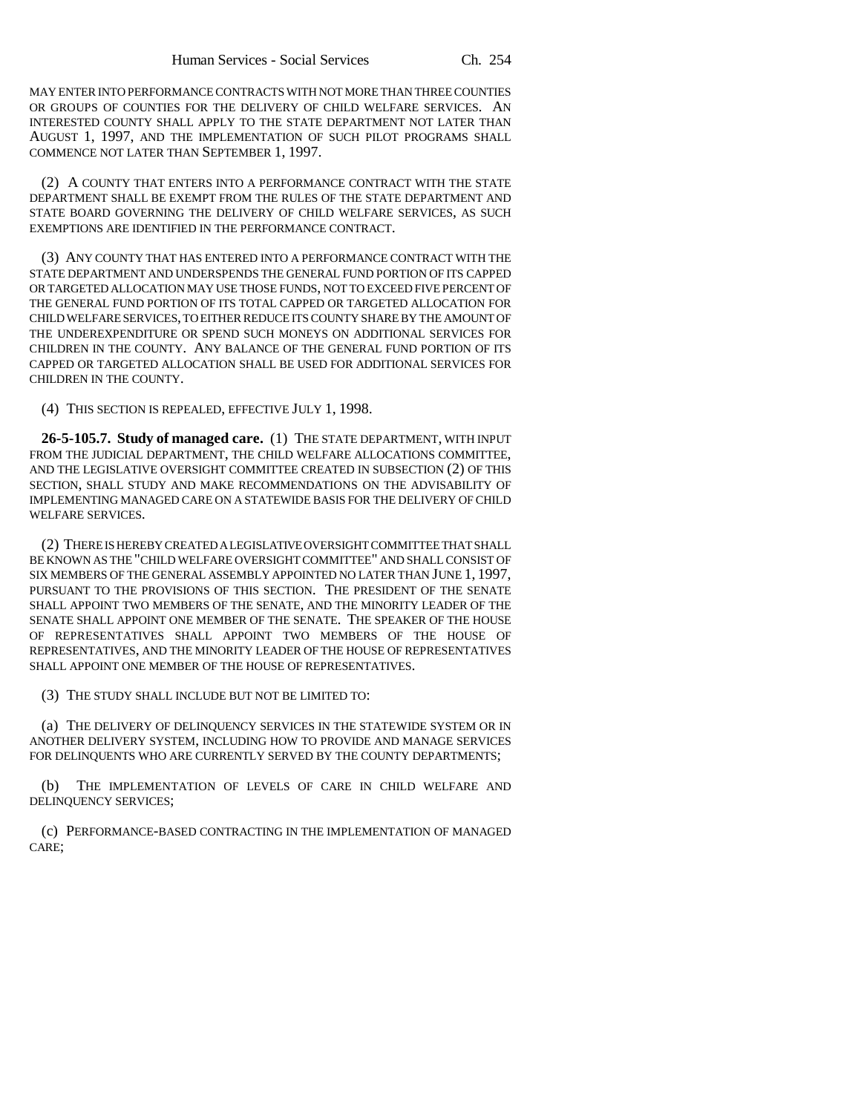MAY ENTER INTO PERFORMANCE CONTRACTS WITH NOT MORE THAN THREE COUNTIES OR GROUPS OF COUNTIES FOR THE DELIVERY OF CHILD WELFARE SERVICES. AN INTERESTED COUNTY SHALL APPLY TO THE STATE DEPARTMENT NOT LATER THAN AUGUST 1, 1997, AND THE IMPLEMENTATION OF SUCH PILOT PROGRAMS SHALL COMMENCE NOT LATER THAN SEPTEMBER 1, 1997.

(2) A COUNTY THAT ENTERS INTO A PERFORMANCE CONTRACT WITH THE STATE DEPARTMENT SHALL BE EXEMPT FROM THE RULES OF THE STATE DEPARTMENT AND STATE BOARD GOVERNING THE DELIVERY OF CHILD WELFARE SERVICES, AS SUCH EXEMPTIONS ARE IDENTIFIED IN THE PERFORMANCE CONTRACT.

(3) ANY COUNTY THAT HAS ENTERED INTO A PERFORMANCE CONTRACT WITH THE STATE DEPARTMENT AND UNDERSPENDS THE GENERAL FUND PORTION OF ITS CAPPED OR TARGETED ALLOCATION MAY USE THOSE FUNDS, NOT TO EXCEED FIVE PERCENT OF THE GENERAL FUND PORTION OF ITS TOTAL CAPPED OR TARGETED ALLOCATION FOR CHILD WELFARE SERVICES, TO EITHER REDUCE ITS COUNTY SHARE BY THE AMOUNT OF THE UNDEREXPENDITURE OR SPEND SUCH MONEYS ON ADDITIONAL SERVICES FOR CHILDREN IN THE COUNTY. ANY BALANCE OF THE GENERAL FUND PORTION OF ITS CAPPED OR TARGETED ALLOCATION SHALL BE USED FOR ADDITIONAL SERVICES FOR CHILDREN IN THE COUNTY.

(4) THIS SECTION IS REPEALED, EFFECTIVE JULY 1, 1998.

**26-5-105.7. Study of managed care.** (1) THE STATE DEPARTMENT, WITH INPUT FROM THE JUDICIAL DEPARTMENT, THE CHILD WELFARE ALLOCATIONS COMMITTEE, AND THE LEGISLATIVE OVERSIGHT COMMITTEE CREATED IN SUBSECTION (2) OF THIS SECTION, SHALL STUDY AND MAKE RECOMMENDATIONS ON THE ADVISABILITY OF IMPLEMENTING MANAGED CARE ON A STATEWIDE BASIS FOR THE DELIVERY OF CHILD WELFARE SERVICES.

(2) THERE IS HEREBY CREATED A LEGISLATIVE OVERSIGHT COMMITTEE THAT SHALL BE KNOWN AS THE "CHILD WELFARE OVERSIGHT COMMITTEE" AND SHALL CONSIST OF SIX MEMBERS OF THE GENERAL ASSEMBLY APPOINTED NO LATER THAN JUNE 1, 1997, PURSUANT TO THE PROVISIONS OF THIS SECTION. THE PRESIDENT OF THE SENATE SHALL APPOINT TWO MEMBERS OF THE SENATE, AND THE MINORITY LEADER OF THE SENATE SHALL APPOINT ONE MEMBER OF THE SENATE. THE SPEAKER OF THE HOUSE OF REPRESENTATIVES SHALL APPOINT TWO MEMBERS OF THE HOUSE OF REPRESENTATIVES, AND THE MINORITY LEADER OF THE HOUSE OF REPRESENTATIVES SHALL APPOINT ONE MEMBER OF THE HOUSE OF REPRESENTATIVES.

(3) THE STUDY SHALL INCLUDE BUT NOT BE LIMITED TO:

(a) THE DELIVERY OF DELINQUENCY SERVICES IN THE STATEWIDE SYSTEM OR IN ANOTHER DELIVERY SYSTEM, INCLUDING HOW TO PROVIDE AND MANAGE SERVICES FOR DELINQUENTS WHO ARE CURRENTLY SERVED BY THE COUNTY DEPARTMENTS;

(b) THE IMPLEMENTATION OF LEVELS OF CARE IN CHILD WELFARE AND DELINQUENCY SERVICES;

(c) PERFORMANCE-BASED CONTRACTING IN THE IMPLEMENTATION OF MANAGED CARE;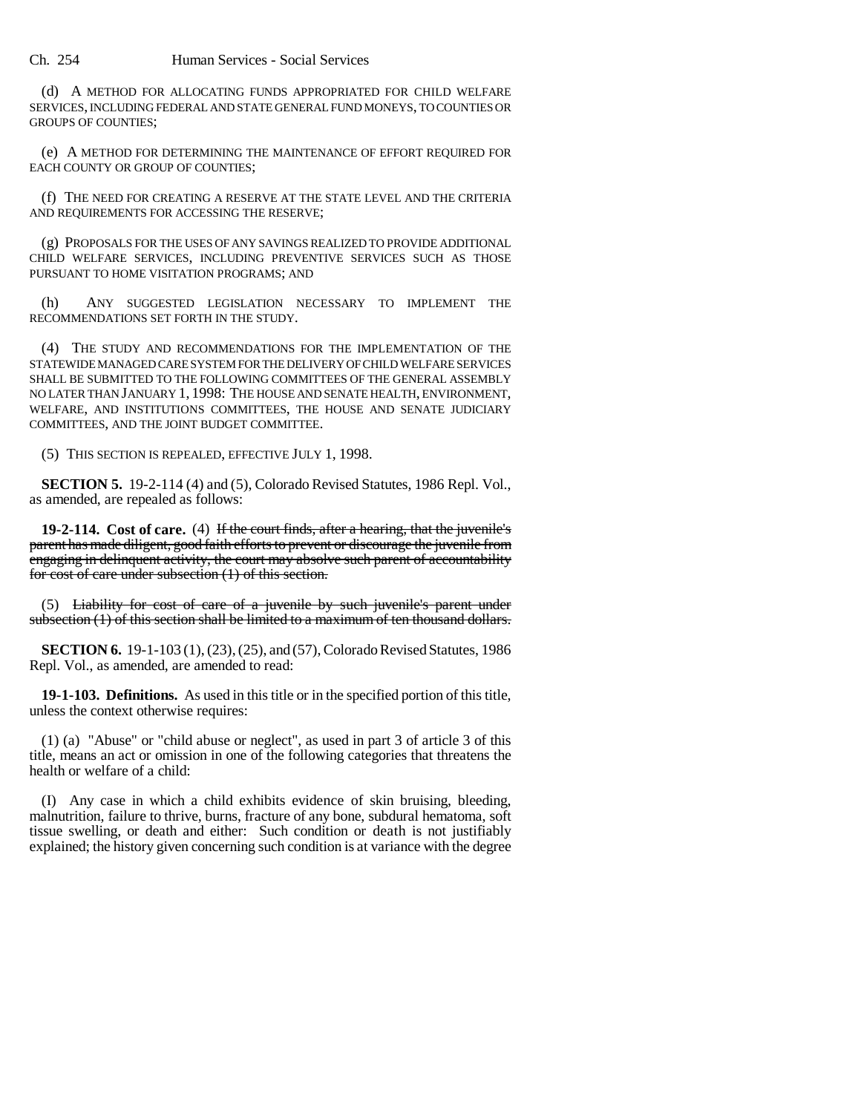(d) A METHOD FOR ALLOCATING FUNDS APPROPRIATED FOR CHILD WELFARE SERVICES, INCLUDING FEDERAL AND STATE GENERAL FUND MONEYS, TO COUNTIES OR GROUPS OF COUNTIES;

(e) A METHOD FOR DETERMINING THE MAINTENANCE OF EFFORT REQUIRED FOR EACH COUNTY OR GROUP OF COUNTIES;

(f) THE NEED FOR CREATING A RESERVE AT THE STATE LEVEL AND THE CRITERIA AND REQUIREMENTS FOR ACCESSING THE RESERVE;

(g) PROPOSALS FOR THE USES OF ANY SAVINGS REALIZED TO PROVIDE ADDITIONAL CHILD WELFARE SERVICES, INCLUDING PREVENTIVE SERVICES SUCH AS THOSE PURSUANT TO HOME VISITATION PROGRAMS; AND

(h) ANY SUGGESTED LEGISLATION NECESSARY TO IMPLEMENT THE RECOMMENDATIONS SET FORTH IN THE STUDY.

(4) THE STUDY AND RECOMMENDATIONS FOR THE IMPLEMENTATION OF THE STATEWIDE MANAGED CARE SYSTEM FOR THE DELIVERY OF CHILD WELFARE SERVICES SHALL BE SUBMITTED TO THE FOLLOWING COMMITTEES OF THE GENERAL ASSEMBLY NO LATER THAN JANUARY 1, 1998: THE HOUSE AND SENATE HEALTH, ENVIRONMENT, WELFARE, AND INSTITUTIONS COMMITTEES, THE HOUSE AND SENATE JUDICIARY COMMITTEES, AND THE JOINT BUDGET COMMITTEE.

(5) THIS SECTION IS REPEALED, EFFECTIVE JULY 1, 1998.

**SECTION 5.** 19-2-114 (4) and (5), Colorado Revised Statutes, 1986 Repl. Vol., as amended, are repealed as follows:

**19-2-114. Cost of care.** (4) If the court finds, after a hearing, that the juvenile's parent has made diligent, good faith efforts to prevent or discourage the juvenile from engaging in delinquent activity, the court may absolve such parent of accountability for cost of care under subsection (1) of this section.

(5) Liability for cost of care of a juvenile by such juvenile's parent under subsection (1) of this section shall be limited to a maximum of ten thousand dollars.

**SECTION 6.** 19-1-103 (1), (23), (25), and (57), Colorado Revised Statutes, 1986 Repl. Vol., as amended, are amended to read:

**19-1-103. Definitions.** As used in this title or in the specified portion of this title, unless the context otherwise requires:

(1) (a) "Abuse" or "child abuse or neglect", as used in part 3 of article 3 of this title, means an act or omission in one of the following categories that threatens the health or welfare of a child:

(I) Any case in which a child exhibits evidence of skin bruising, bleeding, malnutrition, failure to thrive, burns, fracture of any bone, subdural hematoma, soft tissue swelling, or death and either: Such condition or death is not justifiably explained; the history given concerning such condition is at variance with the degree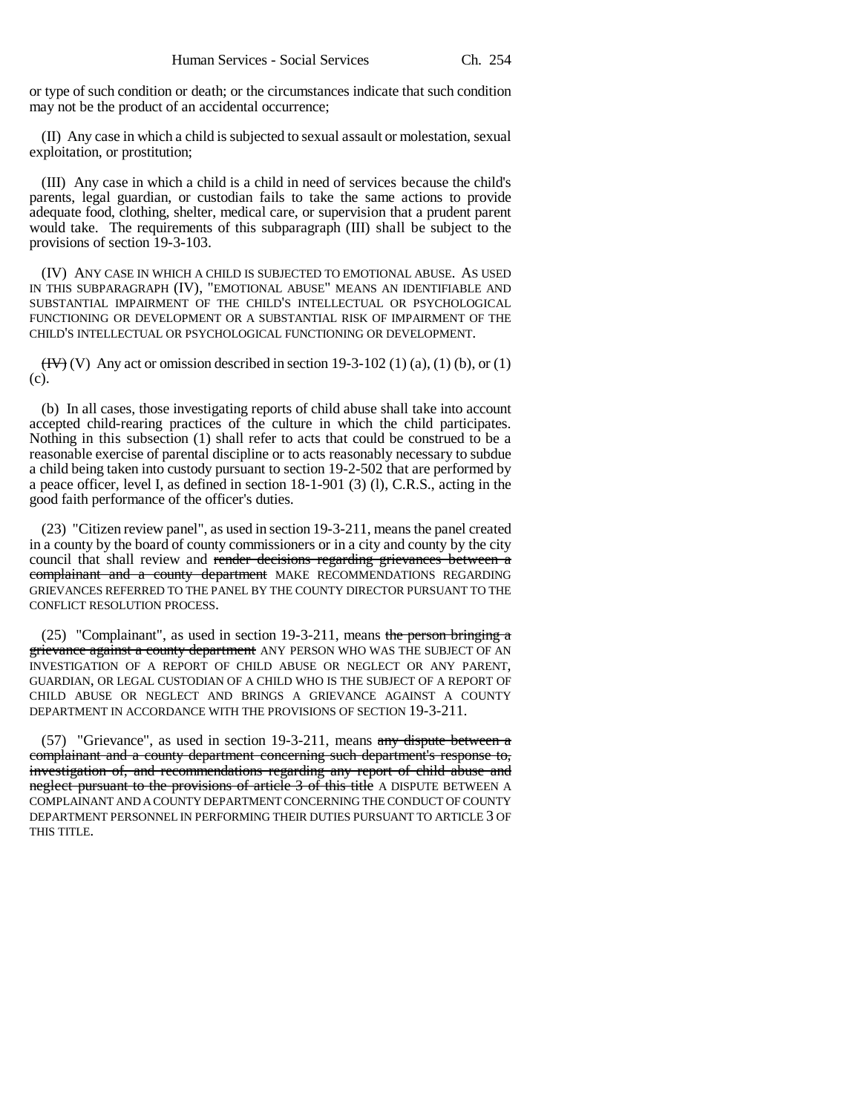or type of such condition or death; or the circumstances indicate that such condition may not be the product of an accidental occurrence;

(II) Any case in which a child is subjected to sexual assault or molestation, sexual exploitation, or prostitution;

(III) Any case in which a child is a child in need of services because the child's parents, legal guardian, or custodian fails to take the same actions to provide adequate food, clothing, shelter, medical care, or supervision that a prudent parent would take. The requirements of this subparagraph (III) shall be subject to the provisions of section 19-3-103.

(IV) ANY CASE IN WHICH A CHILD IS SUBJECTED TO EMOTIONAL ABUSE. AS USED IN THIS SUBPARAGRAPH (IV), "EMOTIONAL ABUSE" MEANS AN IDENTIFIABLE AND SUBSTANTIAL IMPAIRMENT OF THE CHILD'S INTELLECTUAL OR PSYCHOLOGICAL FUNCTIONING OR DEVELOPMENT OR A SUBSTANTIAL RISK OF IMPAIRMENT OF THE CHILD'S INTELLECTUAL OR PSYCHOLOGICAL FUNCTIONING OR DEVELOPMENT.

 $(HV)$  (V) Any act or omission described in section 19-3-102 (1) (a), (1) (b), or (1) (c).

(b) In all cases, those investigating reports of child abuse shall take into account accepted child-rearing practices of the culture in which the child participates. Nothing in this subsection (1) shall refer to acts that could be construed to be a reasonable exercise of parental discipline or to acts reasonably necessary to subdue a child being taken into custody pursuant to section 19-2-502 that are performed by a peace officer, level I, as defined in section 18-1-901 (3) (l), C.R.S., acting in the good faith performance of the officer's duties.

(23) "Citizen review panel", as used in section 19-3-211, means the panel created in a county by the board of county commissioners or in a city and county by the city council that shall review and render decisions regarding grievances between a complainant and a county department MAKE RECOMMENDATIONS REGARDING GRIEVANCES REFERRED TO THE PANEL BY THE COUNTY DIRECTOR PURSUANT TO THE CONFLICT RESOLUTION PROCESS.

(25) "Complainant", as used in section 19-3-211, means the person bringing  $a$ grievance against a county department</del> ANY PERSON WHO WAS THE SUBJECT OF AN INVESTIGATION OF A REPORT OF CHILD ABUSE OR NEGLECT OR ANY PARENT, GUARDIAN, OR LEGAL CUSTODIAN OF A CHILD WHO IS THE SUBJECT OF A REPORT OF CHILD ABUSE OR NEGLECT AND BRINGS A GRIEVANCE AGAINST A COUNTY DEPARTMENT IN ACCORDANCE WITH THE PROVISIONS OF SECTION 19-3-211.

(57) "Grievance", as used in section 19-3-211, means any dispute between a complainant and a county department concerning such department's response to, investigation of, and recommendations regarding any report of child abuse and neglect pursuant to the provisions of article 3 of this title A DISPUTE BETWEEN A COMPLAINANT AND A COUNTY DEPARTMENT CONCERNING THE CONDUCT OF COUNTY DEPARTMENT PERSONNEL IN PERFORMING THEIR DUTIES PURSUANT TO ARTICLE 3 OF THIS TITLE.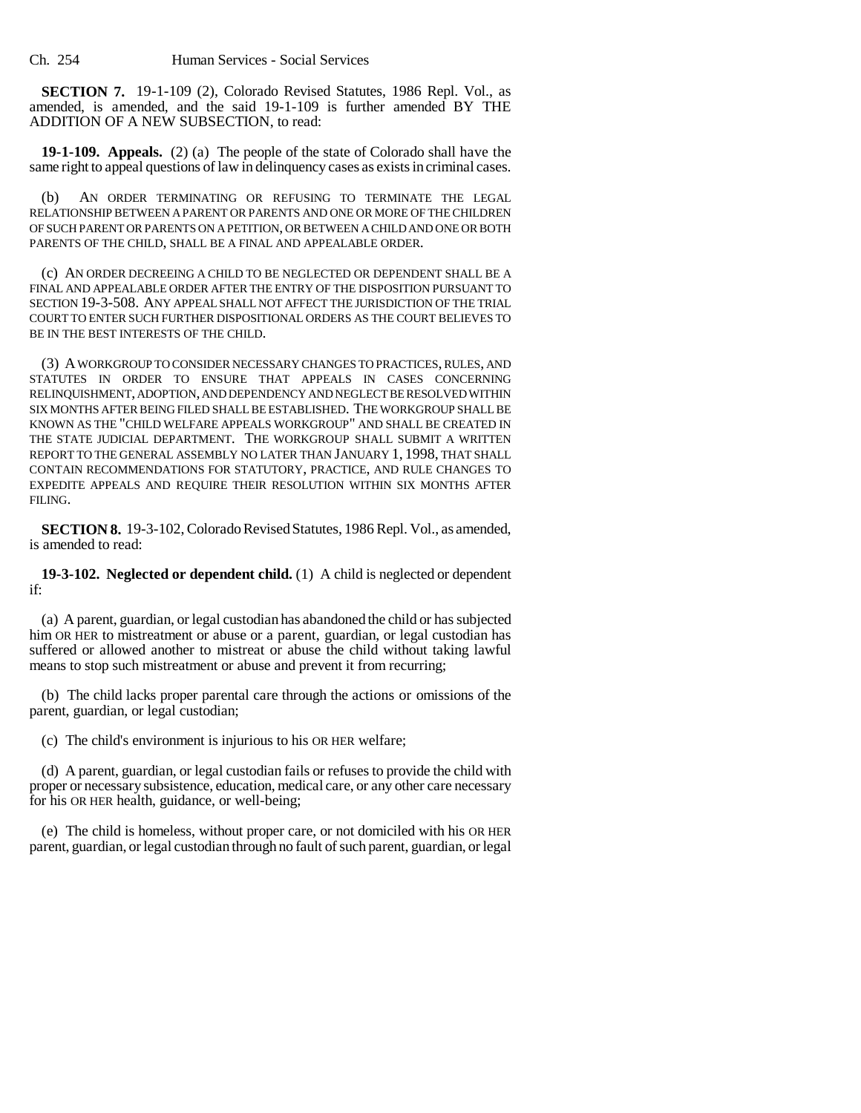Ch. 254 Human Services - Social Services

**SECTION 7.** 19-1-109 (2), Colorado Revised Statutes, 1986 Repl. Vol., as amended, is amended, and the said 19-1-109 is further amended BY THE ADDITION OF A NEW SUBSECTION, to read:

**19-1-109. Appeals.** (2) (a) The people of the state of Colorado shall have the same right to appeal questions of law in delinquency cases as exists in criminal cases.

(b) AN ORDER TERMINATING OR REFUSING TO TERMINATE THE LEGAL RELATIONSHIP BETWEEN A PARENT OR PARENTS AND ONE OR MORE OF THE CHILDREN OF SUCH PARENT OR PARENTS ON A PETITION, OR BETWEEN A CHILD AND ONE OR BOTH PARENTS OF THE CHILD, SHALL BE A FINAL AND APPEALABLE ORDER.

(c) AN ORDER DECREEING A CHILD TO BE NEGLECTED OR DEPENDENT SHALL BE A FINAL AND APPEALABLE ORDER AFTER THE ENTRY OF THE DISPOSITION PURSUANT TO SECTION 19-3-508. ANY APPEAL SHALL NOT AFFECT THE JURISDICTION OF THE TRIAL COURT TO ENTER SUCH FURTHER DISPOSITIONAL ORDERS AS THE COURT BELIEVES TO BE IN THE BEST INTERESTS OF THE CHILD.

(3) A WORKGROUP TO CONSIDER NECESSARY CHANGES TO PRACTICES, RULES, AND STATUTES IN ORDER TO ENSURE THAT APPEALS IN CASES CONCERNING RELINQUISHMENT, ADOPTION, AND DEPENDENCY AND NEGLECT BE RESOLVED WITHIN SIX MONTHS AFTER BEING FILED SHALL BE ESTABLISHED. THE WORKGROUP SHALL BE KNOWN AS THE "CHILD WELFARE APPEALS WORKGROUP" AND SHALL BE CREATED IN THE STATE JUDICIAL DEPARTMENT. THE WORKGROUP SHALL SUBMIT A WRITTEN REPORT TO THE GENERAL ASSEMBLY NO LATER THAN JANUARY 1, 1998, THAT SHALL CONTAIN RECOMMENDATIONS FOR STATUTORY, PRACTICE, AND RULE CHANGES TO EXPEDITE APPEALS AND REQUIRE THEIR RESOLUTION WITHIN SIX MONTHS AFTER FILING.

**SECTION 8.** 19-3-102, Colorado Revised Statutes, 1986 Repl. Vol., as amended, is amended to read:

**19-3-102. Neglected or dependent child.** (1) A child is neglected or dependent if:

(a) A parent, guardian, or legal custodian has abandoned the child or has subjected him OR HER to mistreatment or abuse or a parent, guardian, or legal custodian has suffered or allowed another to mistreat or abuse the child without taking lawful means to stop such mistreatment or abuse and prevent it from recurring;

(b) The child lacks proper parental care through the actions or omissions of the parent, guardian, or legal custodian;

(c) The child's environment is injurious to his OR HER welfare;

(d) A parent, guardian, or legal custodian fails or refuses to provide the child with proper or necessary subsistence, education, medical care, or any other care necessary for his OR HER health, guidance, or well-being;

(e) The child is homeless, without proper care, or not domiciled with his OR HER parent, guardian, or legal custodian through no fault of such parent, guardian, or legal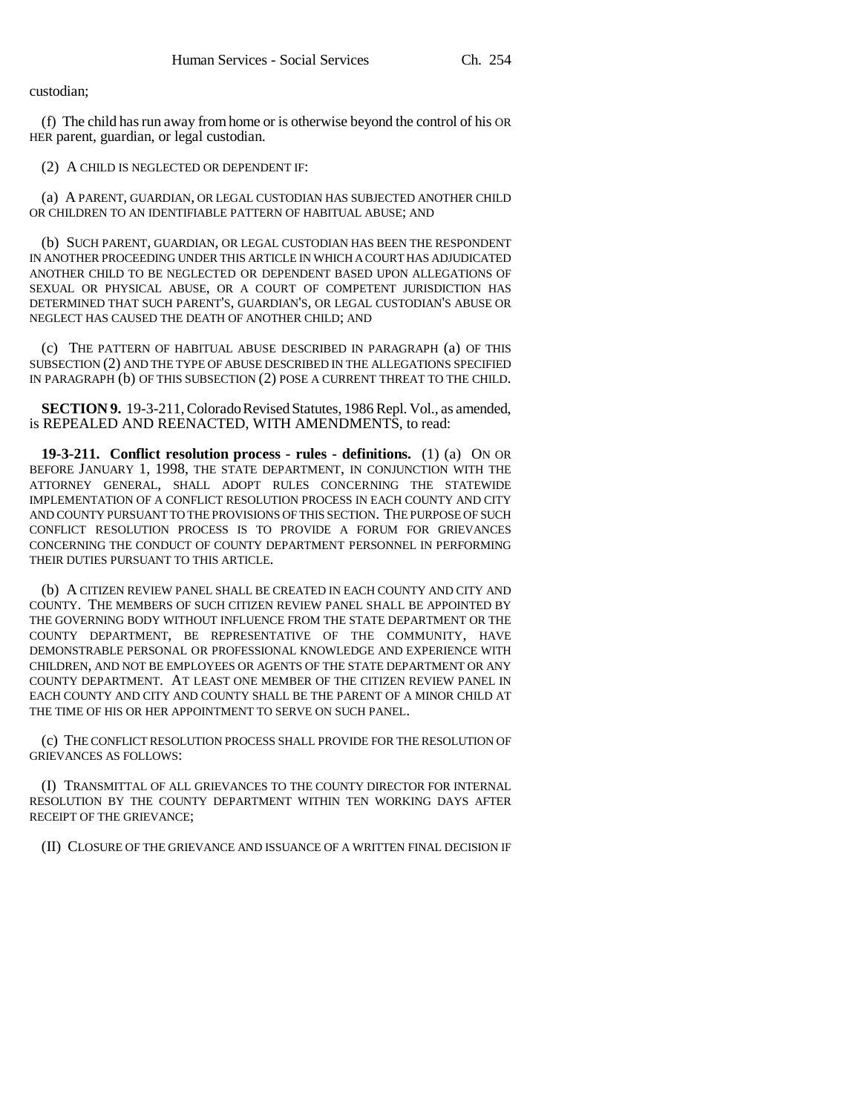custodian;

(f) The child has run away from home or is otherwise beyond the control of his OR HER parent, guardian, or legal custodian.

(2) A CHILD IS NEGLECTED OR DEPENDENT IF:

(a) A PARENT, GUARDIAN, OR LEGAL CUSTODIAN HAS SUBJECTED ANOTHER CHILD OR CHILDREN TO AN IDENTIFIABLE PATTERN OF HABITUAL ABUSE; AND

(b) SUCH PARENT, GUARDIAN, OR LEGAL CUSTODIAN HAS BEEN THE RESPONDENT IN ANOTHER PROCEEDING UNDER THIS ARTICLE IN WHICH A COURT HAS ADJUDICATED ANOTHER CHILD TO BE NEGLECTED OR DEPENDENT BASED UPON ALLEGATIONS OF SEXUAL OR PHYSICAL ABUSE, OR A COURT OF COMPETENT JURISDICTION HAS DETERMINED THAT SUCH PARENT'S, GUARDIAN'S, OR LEGAL CUSTODIAN'S ABUSE OR NEGLECT HAS CAUSED THE DEATH OF ANOTHER CHILD; AND

(c) THE PATTERN OF HABITUAL ABUSE DESCRIBED IN PARAGRAPH (a) OF THIS SUBSECTION (2) AND THE TYPE OF ABUSE DESCRIBED IN THE ALLEGATIONS SPECIFIED IN PARAGRAPH (b) OF THIS SUBSECTION (2) POSE A CURRENT THREAT TO THE CHILD.

**SECTION 9.** 19-3-211, Colorado Revised Statutes, 1986 Repl. Vol., as amended, is REPEALED AND REENACTED, WITH AMENDMENTS, to read:

**19-3-211. Conflict resolution process - rules - definitions.** (1) (a) ON OR BEFORE JANUARY 1, 1998, THE STATE DEPARTMENT, IN CONJUNCTION WITH THE ATTORNEY GENERAL, SHALL ADOPT RULES CONCERNING THE STATEWIDE IMPLEMENTATION OF A CONFLICT RESOLUTION PROCESS IN EACH COUNTY AND CITY AND COUNTY PURSUANT TO THE PROVISIONS OF THIS SECTION. THE PURPOSE OF SUCH CONFLICT RESOLUTION PROCESS IS TO PROVIDE A FORUM FOR GRIEVANCES CONCERNING THE CONDUCT OF COUNTY DEPARTMENT PERSONNEL IN PERFORMING THEIR DUTIES PURSUANT TO THIS ARTICLE.

(b) A CITIZEN REVIEW PANEL SHALL BE CREATED IN EACH COUNTY AND CITY AND COUNTY. THE MEMBERS OF SUCH CITIZEN REVIEW PANEL SHALL BE APPOINTED BY THE GOVERNING BODY WITHOUT INFLUENCE FROM THE STATE DEPARTMENT OR THE COUNTY DEPARTMENT, BE REPRESENTATIVE OF THE COMMUNITY, HAVE DEMONSTRABLE PERSONAL OR PROFESSIONAL KNOWLEDGE AND EXPERIENCE WITH CHILDREN, AND NOT BE EMPLOYEES OR AGENTS OF THE STATE DEPARTMENT OR ANY COUNTY DEPARTMENT. AT LEAST ONE MEMBER OF THE CITIZEN REVIEW PANEL IN EACH COUNTY AND CITY AND COUNTY SHALL BE THE PARENT OF A MINOR CHILD AT THE TIME OF HIS OR HER APPOINTMENT TO SERVE ON SUCH PANEL.

(c) THE CONFLICT RESOLUTION PROCESS SHALL PROVIDE FOR THE RESOLUTION OF GRIEVANCES AS FOLLOWS:

(I) TRANSMITTAL OF ALL GRIEVANCES TO THE COUNTY DIRECTOR FOR INTERNAL RESOLUTION BY THE COUNTY DEPARTMENT WITHIN TEN WORKING DAYS AFTER RECEIPT OF THE GRIEVANCE;

(II) CLOSURE OF THE GRIEVANCE AND ISSUANCE OF A WRITTEN FINAL DECISION IF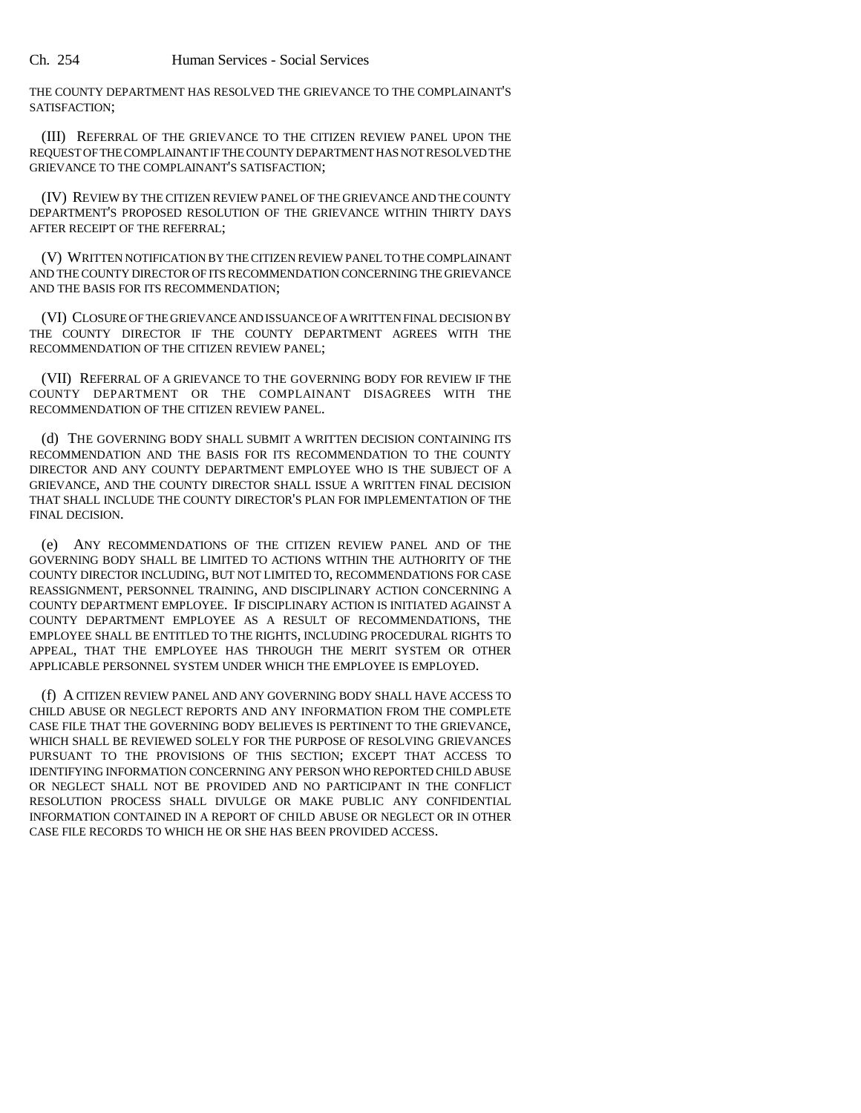THE COUNTY DEPARTMENT HAS RESOLVED THE GRIEVANCE TO THE COMPLAINANT'S SATISFACTION;

(III) REFERRAL OF THE GRIEVANCE TO THE CITIZEN REVIEW PANEL UPON THE REQUEST OF THE COMPLAINANT IF THE COUNTY DEPARTMENT HAS NOT RESOLVED THE GRIEVANCE TO THE COMPLAINANT'S SATISFACTION;

(IV) REVIEW BY THE CITIZEN REVIEW PANEL OF THE GRIEVANCE AND THE COUNTY DEPARTMENT'S PROPOSED RESOLUTION OF THE GRIEVANCE WITHIN THIRTY DAYS AFTER RECEIPT OF THE REFERRAL;

(V) WRITTEN NOTIFICATION BY THE CITIZEN REVIEW PANEL TO THE COMPLAINANT AND THE COUNTY DIRECTOR OF ITS RECOMMENDATION CONCERNING THE GRIEVANCE AND THE BASIS FOR ITS RECOMMENDATION;

(VI) CLOSURE OF THE GRIEVANCE AND ISSUANCE OF A WRITTEN FINAL DECISION BY THE COUNTY DIRECTOR IF THE COUNTY DEPARTMENT AGREES WITH THE RECOMMENDATION OF THE CITIZEN REVIEW PANEL;

(VII) REFERRAL OF A GRIEVANCE TO THE GOVERNING BODY FOR REVIEW IF THE COUNTY DEPARTMENT OR THE COMPLAINANT DISAGREES WITH THE RECOMMENDATION OF THE CITIZEN REVIEW PANEL.

(d) THE GOVERNING BODY SHALL SUBMIT A WRITTEN DECISION CONTAINING ITS RECOMMENDATION AND THE BASIS FOR ITS RECOMMENDATION TO THE COUNTY DIRECTOR AND ANY COUNTY DEPARTMENT EMPLOYEE WHO IS THE SUBJECT OF A GRIEVANCE, AND THE COUNTY DIRECTOR SHALL ISSUE A WRITTEN FINAL DECISION THAT SHALL INCLUDE THE COUNTY DIRECTOR'S PLAN FOR IMPLEMENTATION OF THE FINAL DECISION.

(e) ANY RECOMMENDATIONS OF THE CITIZEN REVIEW PANEL AND OF THE GOVERNING BODY SHALL BE LIMITED TO ACTIONS WITHIN THE AUTHORITY OF THE COUNTY DIRECTOR INCLUDING, BUT NOT LIMITED TO, RECOMMENDATIONS FOR CASE REASSIGNMENT, PERSONNEL TRAINING, AND DISCIPLINARY ACTION CONCERNING A COUNTY DEPARTMENT EMPLOYEE. IF DISCIPLINARY ACTION IS INITIATED AGAINST A COUNTY DEPARTMENT EMPLOYEE AS A RESULT OF RECOMMENDATIONS, THE EMPLOYEE SHALL BE ENTITLED TO THE RIGHTS, INCLUDING PROCEDURAL RIGHTS TO APPEAL, THAT THE EMPLOYEE HAS THROUGH THE MERIT SYSTEM OR OTHER APPLICABLE PERSONNEL SYSTEM UNDER WHICH THE EMPLOYEE IS EMPLOYED.

(f) A CITIZEN REVIEW PANEL AND ANY GOVERNING BODY SHALL HAVE ACCESS TO CHILD ABUSE OR NEGLECT REPORTS AND ANY INFORMATION FROM THE COMPLETE CASE FILE THAT THE GOVERNING BODY BELIEVES IS PERTINENT TO THE GRIEVANCE, WHICH SHALL BE REVIEWED SOLELY FOR THE PURPOSE OF RESOLVING GRIEVANCES PURSUANT TO THE PROVISIONS OF THIS SECTION; EXCEPT THAT ACCESS TO IDENTIFYING INFORMATION CONCERNING ANY PERSON WHO REPORTED CHILD ABUSE OR NEGLECT SHALL NOT BE PROVIDED AND NO PARTICIPANT IN THE CONFLICT RESOLUTION PROCESS SHALL DIVULGE OR MAKE PUBLIC ANY CONFIDENTIAL INFORMATION CONTAINED IN A REPORT OF CHILD ABUSE OR NEGLECT OR IN OTHER CASE FILE RECORDS TO WHICH HE OR SHE HAS BEEN PROVIDED ACCESS.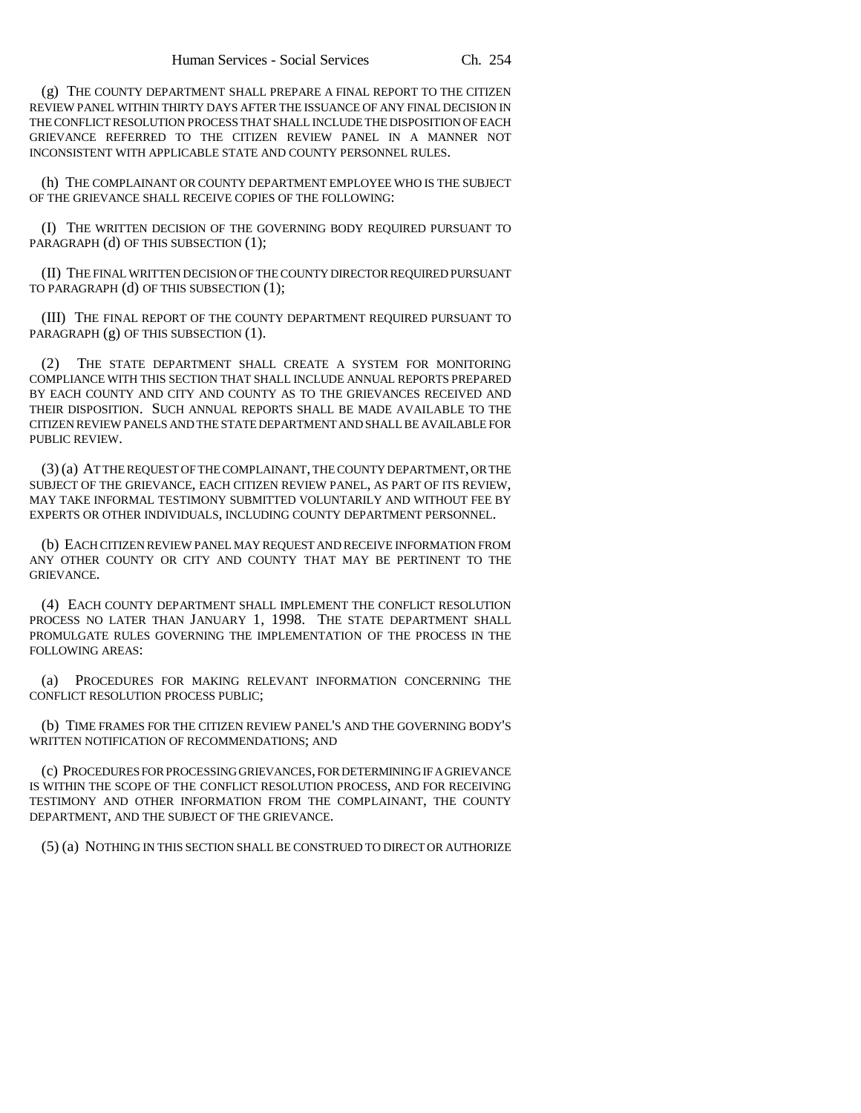(g) THE COUNTY DEPARTMENT SHALL PREPARE A FINAL REPORT TO THE CITIZEN REVIEW PANEL WITHIN THIRTY DAYS AFTER THE ISSUANCE OF ANY FINAL DECISION IN THE CONFLICT RESOLUTION PROCESS THAT SHALL INCLUDE THE DISPOSITION OF EACH GRIEVANCE REFERRED TO THE CITIZEN REVIEW PANEL IN A MANNER NOT INCONSISTENT WITH APPLICABLE STATE AND COUNTY PERSONNEL RULES.

(h) THE COMPLAINANT OR COUNTY DEPARTMENT EMPLOYEE WHO IS THE SUBJECT OF THE GRIEVANCE SHALL RECEIVE COPIES OF THE FOLLOWING:

(I) THE WRITTEN DECISION OF THE GOVERNING BODY REQUIRED PURSUANT TO PARAGRAPH (d) OF THIS SUBSECTION (1);

(II) THE FINAL WRITTEN DECISION OF THE COUNTY DIRECTOR REQUIRED PURSUANT TO PARAGRAPH (d) OF THIS SUBSECTION (1);

(III) THE FINAL REPORT OF THE COUNTY DEPARTMENT REQUIRED PURSUANT TO PARAGRAPH (g) OF THIS SUBSECTION (1).

(2) THE STATE DEPARTMENT SHALL CREATE A SYSTEM FOR MONITORING COMPLIANCE WITH THIS SECTION THAT SHALL INCLUDE ANNUAL REPORTS PREPARED BY EACH COUNTY AND CITY AND COUNTY AS TO THE GRIEVANCES RECEIVED AND THEIR DISPOSITION. SUCH ANNUAL REPORTS SHALL BE MADE AVAILABLE TO THE CITIZEN REVIEW PANELS AND THE STATE DEPARTMENT AND SHALL BE AVAILABLE FOR PUBLIC REVIEW.

(3) (a) AT THE REQUEST OF THE COMPLAINANT, THE COUNTY DEPARTMENT, OR THE SUBJECT OF THE GRIEVANCE, EACH CITIZEN REVIEW PANEL, AS PART OF ITS REVIEW, MAY TAKE INFORMAL TESTIMONY SUBMITTED VOLUNTARILY AND WITHOUT FEE BY EXPERTS OR OTHER INDIVIDUALS, INCLUDING COUNTY DEPARTMENT PERSONNEL.

(b) EACH CITIZEN REVIEW PANEL MAY REQUEST AND RECEIVE INFORMATION FROM ANY OTHER COUNTY OR CITY AND COUNTY THAT MAY BE PERTINENT TO THE GRIEVANCE.

(4) EACH COUNTY DEPARTMENT SHALL IMPLEMENT THE CONFLICT RESOLUTION PROCESS NO LATER THAN JANUARY 1, 1998. THE STATE DEPARTMENT SHALL PROMULGATE RULES GOVERNING THE IMPLEMENTATION OF THE PROCESS IN THE FOLLOWING AREAS:

(a) PROCEDURES FOR MAKING RELEVANT INFORMATION CONCERNING THE CONFLICT RESOLUTION PROCESS PUBLIC;

(b) TIME FRAMES FOR THE CITIZEN REVIEW PANEL'S AND THE GOVERNING BODY'S WRITTEN NOTIFICATION OF RECOMMENDATIONS; AND

(c) PROCEDURES FOR PROCESSING GRIEVANCES, FOR DETERMINING IF A GRIEVANCE IS WITHIN THE SCOPE OF THE CONFLICT RESOLUTION PROCESS, AND FOR RECEIVING TESTIMONY AND OTHER INFORMATION FROM THE COMPLAINANT, THE COUNTY DEPARTMENT, AND THE SUBJECT OF THE GRIEVANCE.

(5) (a) NOTHING IN THIS SECTION SHALL BE CONSTRUED TO DIRECT OR AUTHORIZE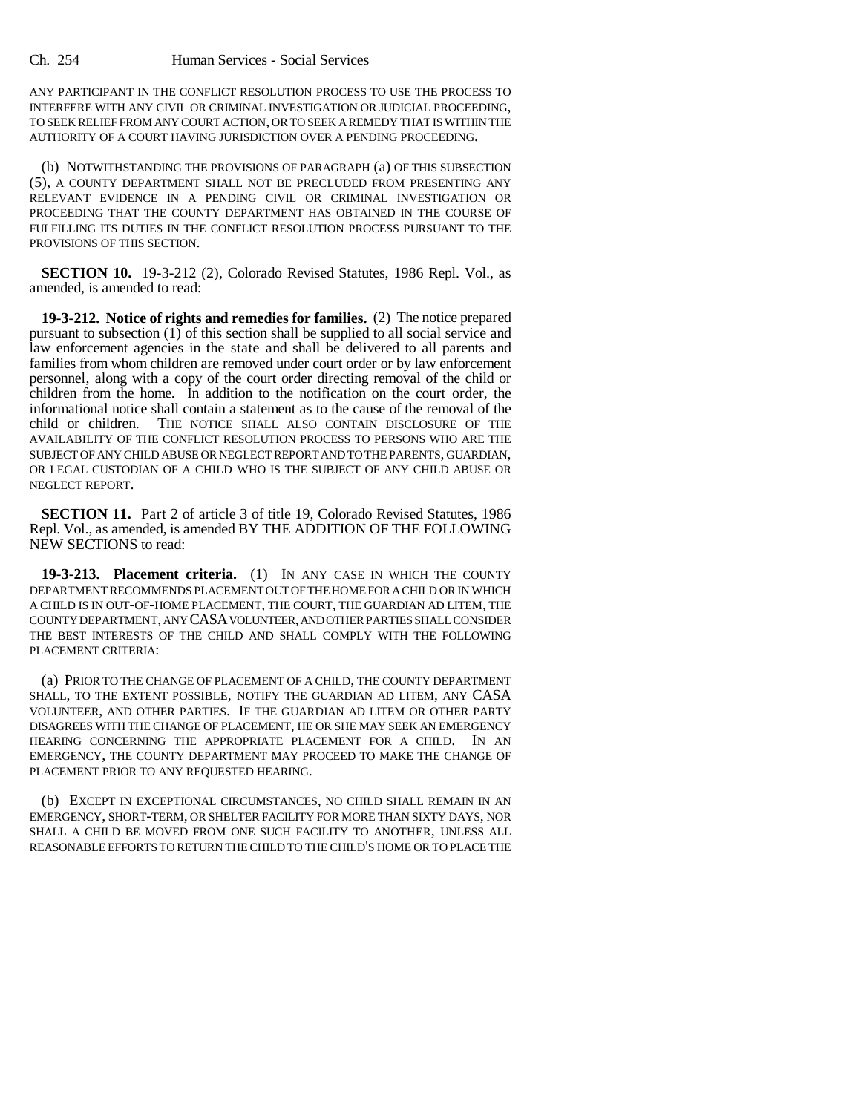ANY PARTICIPANT IN THE CONFLICT RESOLUTION PROCESS TO USE THE PROCESS TO INTERFERE WITH ANY CIVIL OR CRIMINAL INVESTIGATION OR JUDICIAL PROCEEDING, TO SEEK RELIEF FROM ANY COURT ACTION, OR TO SEEK A REMEDY THAT IS WITHIN THE AUTHORITY OF A COURT HAVING JURISDICTION OVER A PENDING PROCEEDING.

(b) NOTWITHSTANDING THE PROVISIONS OF PARAGRAPH (a) OF THIS SUBSECTION (5), A COUNTY DEPARTMENT SHALL NOT BE PRECLUDED FROM PRESENTING ANY RELEVANT EVIDENCE IN A PENDING CIVIL OR CRIMINAL INVESTIGATION OR PROCEEDING THAT THE COUNTY DEPARTMENT HAS OBTAINED IN THE COURSE OF FULFILLING ITS DUTIES IN THE CONFLICT RESOLUTION PROCESS PURSUANT TO THE PROVISIONS OF THIS SECTION.

**SECTION 10.** 19-3-212 (2), Colorado Revised Statutes, 1986 Repl. Vol., as amended, is amended to read:

**19-3-212. Notice of rights and remedies for families.** (2) The notice prepared pursuant to subsection  $(1)$  of this section shall be supplied to all social service and law enforcement agencies in the state and shall be delivered to all parents and families from whom children are removed under court order or by law enforcement personnel, along with a copy of the court order directing removal of the child or children from the home. In addition to the notification on the court order, the informational notice shall contain a statement as to the cause of the removal of the THE NOTICE SHALL ALSO CONTAIN DISCLOSURE OF THE AVAILABILITY OF THE CONFLICT RESOLUTION PROCESS TO PERSONS WHO ARE THE SUBJECT OF ANY CHILD ABUSE OR NEGLECT REPORT AND TO THE PARENTS, GUARDIAN, OR LEGAL CUSTODIAN OF A CHILD WHO IS THE SUBJECT OF ANY CHILD ABUSE OR NEGLECT REPORT.

**SECTION 11.** Part 2 of article 3 of title 19, Colorado Revised Statutes, 1986 Repl. Vol., as amended, is amended BY THE ADDITION OF THE FOLLOWING NEW SECTIONS to read:

**19-3-213. Placement criteria.** (1) IN ANY CASE IN WHICH THE COUNTY DEPARTMENT RECOMMENDS PLACEMENT OUT OF THE HOME FOR A CHILD OR IN WHICH A CHILD IS IN OUT-OF-HOME PLACEMENT, THE COURT, THE GUARDIAN AD LITEM, THE COUNTY DEPARTMENT, ANY CASA VOLUNTEER, AND OTHER PARTIES SHALL CONSIDER THE BEST INTERESTS OF THE CHILD AND SHALL COMPLY WITH THE FOLLOWING PLACEMENT CRITERIA:

(a) PRIOR TO THE CHANGE OF PLACEMENT OF A CHILD, THE COUNTY DEPARTMENT SHALL, TO THE EXTENT POSSIBLE, NOTIFY THE GUARDIAN AD LITEM, ANY CASA VOLUNTEER, AND OTHER PARTIES. IF THE GUARDIAN AD LITEM OR OTHER PARTY DISAGREES WITH THE CHANGE OF PLACEMENT, HE OR SHE MAY SEEK AN EMERGENCY HEARING CONCERNING THE APPROPRIATE PLACEMENT FOR A CHILD. IN AN EMERGENCY, THE COUNTY DEPARTMENT MAY PROCEED TO MAKE THE CHANGE OF PLACEMENT PRIOR TO ANY REQUESTED HEARING.

(b) EXCEPT IN EXCEPTIONAL CIRCUMSTANCES, NO CHILD SHALL REMAIN IN AN EMERGENCY, SHORT-TERM, OR SHELTER FACILITY FOR MORE THAN SIXTY DAYS, NOR SHALL A CHILD BE MOVED FROM ONE SUCH FACILITY TO ANOTHER, UNLESS ALL REASONABLE EFFORTS TO RETURN THE CHILD TO THE CHILD'S HOME OR TO PLACE THE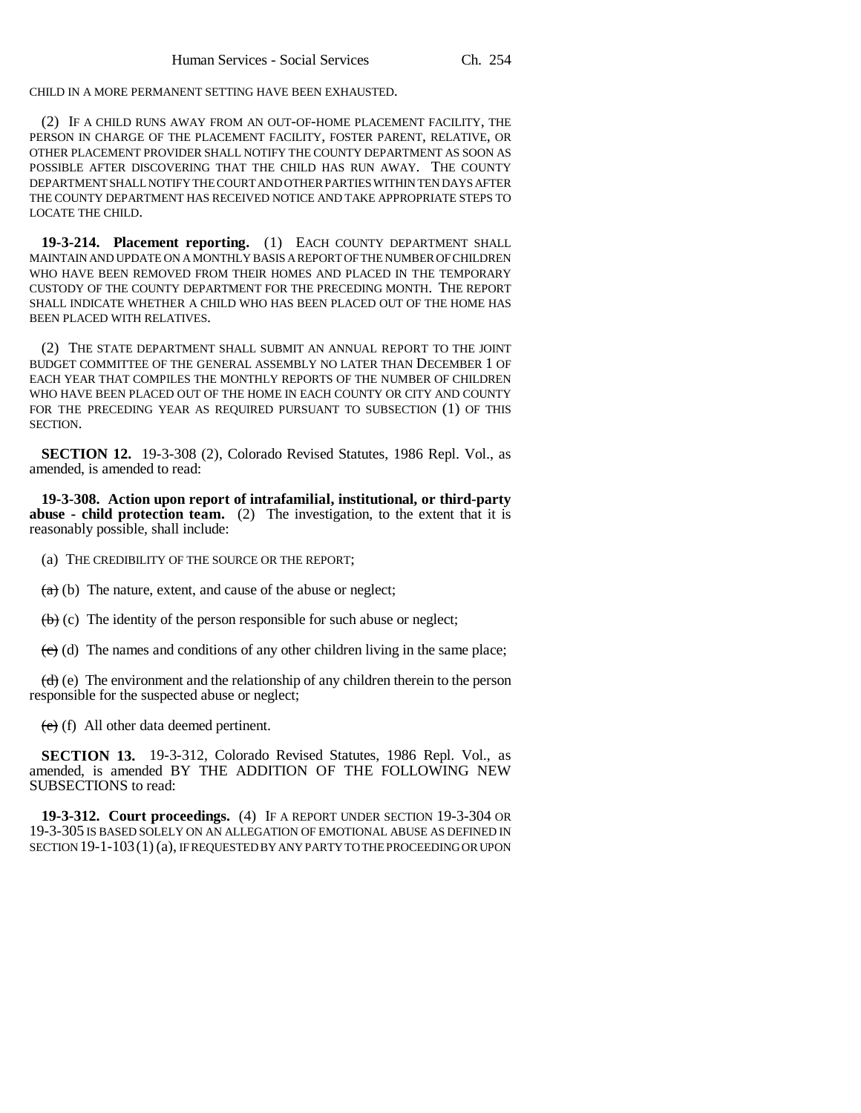CHILD IN A MORE PERMANENT SETTING HAVE BEEN EXHAUSTED.

(2) IF A CHILD RUNS AWAY FROM AN OUT-OF-HOME PLACEMENT FACILITY, THE PERSON IN CHARGE OF THE PLACEMENT FACILITY, FOSTER PARENT, RELATIVE, OR OTHER PLACEMENT PROVIDER SHALL NOTIFY THE COUNTY DEPARTMENT AS SOON AS POSSIBLE AFTER DISCOVERING THAT THE CHILD HAS RUN AWAY. THE COUNTY DEPARTMENT SHALL NOTIFY THE COURT AND OTHER PARTIES WITHIN TEN DAYS AFTER THE COUNTY DEPARTMENT HAS RECEIVED NOTICE AND TAKE APPROPRIATE STEPS TO LOCATE THE CHILD.

**19-3-214. Placement reporting.** (1) EACH COUNTY DEPARTMENT SHALL MAINTAIN AND UPDATE ON A MONTHLY BASIS A REPORT OF THE NUMBER OF CHILDREN WHO HAVE BEEN REMOVED FROM THEIR HOMES AND PLACED IN THE TEMPORARY CUSTODY OF THE COUNTY DEPARTMENT FOR THE PRECEDING MONTH. THE REPORT SHALL INDICATE WHETHER A CHILD WHO HAS BEEN PLACED OUT OF THE HOME HAS BEEN PLACED WITH RELATIVES.

(2) THE STATE DEPARTMENT SHALL SUBMIT AN ANNUAL REPORT TO THE JOINT BUDGET COMMITTEE OF THE GENERAL ASSEMBLY NO LATER THAN DECEMBER 1 OF EACH YEAR THAT COMPILES THE MONTHLY REPORTS OF THE NUMBER OF CHILDREN WHO HAVE BEEN PLACED OUT OF THE HOME IN EACH COUNTY OR CITY AND COUNTY FOR THE PRECEDING YEAR AS REQUIRED PURSUANT TO SUBSECTION (1) OF THIS SECTION.

**SECTION 12.** 19-3-308 (2), Colorado Revised Statutes, 1986 Repl. Vol., as amended, is amended to read:

**19-3-308. Action upon report of intrafamilial, institutional, or third-party abuse - child protection team.** (2) The investigation, to the extent that it is reasonably possible, shall include:

(a) THE CREDIBILITY OF THE SOURCE OR THE REPORT;

 $(a)$  (b) The nature, extent, and cause of the abuse or neglect;

 $(b)$  (c) The identity of the person responsible for such abuse or neglect;

 $\left(\frac{e}{c}\right)$  (d) The names and conditions of any other children living in the same place;

 $(d)$  (e) The environment and the relationship of any children therein to the person responsible for the suspected abuse or neglect;

(e) (f) All other data deemed pertinent.

**SECTION 13.** 19-3-312, Colorado Revised Statutes, 1986 Repl. Vol., as amended, is amended BY THE ADDITION OF THE FOLLOWING NEW SUBSECTIONS to read:

**19-3-312. Court proceedings.** (4) IF A REPORT UNDER SECTION 19-3-304 OR 19-3-305 IS BASED SOLELY ON AN ALLEGATION OF EMOTIONAL ABUSE AS DEFINED IN SECTION 19-1-103(1) (a), IF REQUESTED BY ANY PARTY TO THE PROCEEDING OR UPON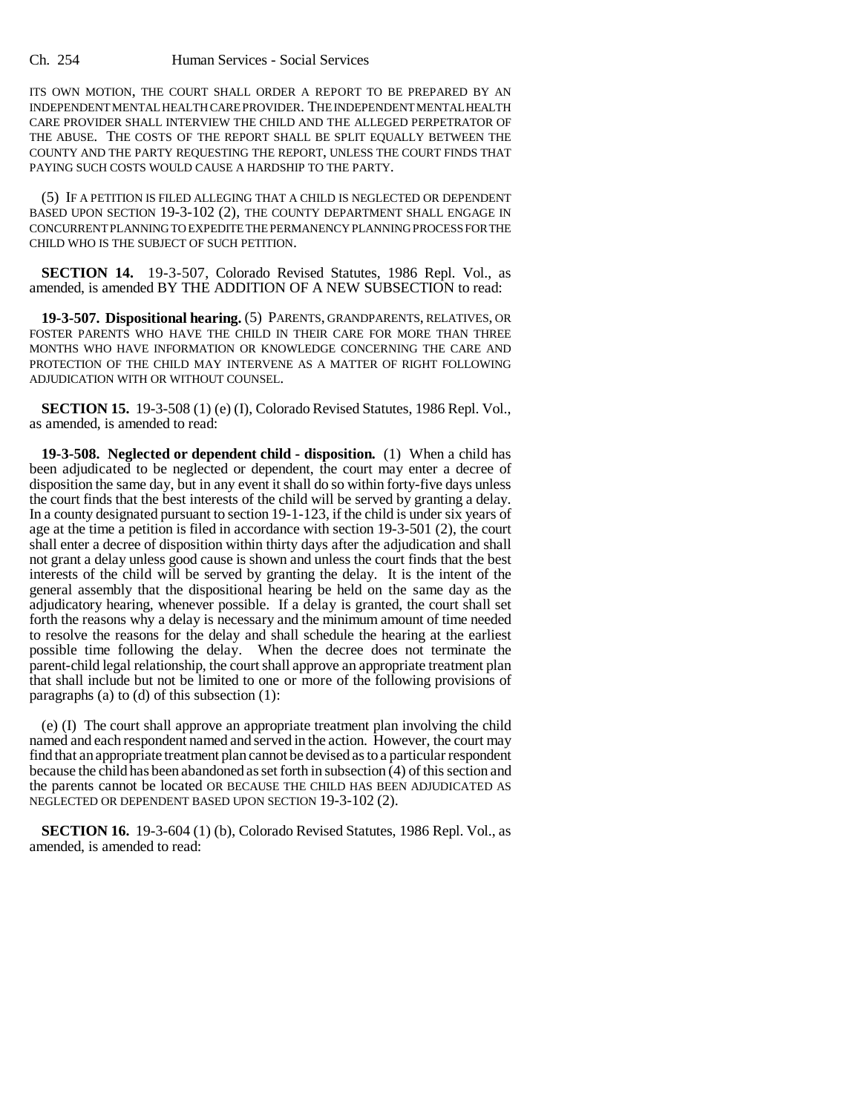ITS OWN MOTION, THE COURT SHALL ORDER A REPORT TO BE PREPARED BY AN INDEPENDENT MENTAL HEALTH CARE PROVIDER. THE INDEPENDENT MENTAL HEALTH CARE PROVIDER SHALL INTERVIEW THE CHILD AND THE ALLEGED PERPETRATOR OF THE ABUSE. THE COSTS OF THE REPORT SHALL BE SPLIT EQUALLY BETWEEN THE COUNTY AND THE PARTY REQUESTING THE REPORT, UNLESS THE COURT FINDS THAT PAYING SUCH COSTS WOULD CAUSE A HARDSHIP TO THE PARTY.

(5) IF A PETITION IS FILED ALLEGING THAT A CHILD IS NEGLECTED OR DEPENDENT BASED UPON SECTION 19-3-102 (2), THE COUNTY DEPARTMENT SHALL ENGAGE IN CONCURRENT PLANNING TO EXPEDITE THE PERMANENCY PLANNING PROCESS FOR THE CHILD WHO IS THE SUBJECT OF SUCH PETITION.

**SECTION 14.** 19-3-507, Colorado Revised Statutes, 1986 Repl. Vol., as amended, is amended BY THE ADDITION OF A NEW SUBSECTION to read:

**19-3-507. Dispositional hearing.** (5) PARENTS, GRANDPARENTS, RELATIVES, OR FOSTER PARENTS WHO HAVE THE CHILD IN THEIR CARE FOR MORE THAN THREE MONTHS WHO HAVE INFORMATION OR KNOWLEDGE CONCERNING THE CARE AND PROTECTION OF THE CHILD MAY INTERVENE AS A MATTER OF RIGHT FOLLOWING ADJUDICATION WITH OR WITHOUT COUNSEL.

**SECTION 15.** 19-3-508 (1) (e) (I), Colorado Revised Statutes, 1986 Repl. Vol., as amended, is amended to read:

**19-3-508. Neglected or dependent child - disposition.** (1) When a child has been adjudicated to be neglected or dependent, the court may enter a decree of disposition the same day, but in any event it shall do so within forty-five days unless the court finds that the best interests of the child will be served by granting a delay. In a county designated pursuant to section 19-1-123, if the child is under six years of age at the time a petition is filed in accordance with section 19-3-501 (2), the court shall enter a decree of disposition within thirty days after the adjudication and shall not grant a delay unless good cause is shown and unless the court finds that the best interests of the child will be served by granting the delay. It is the intent of the general assembly that the dispositional hearing be held on the same day as the adjudicatory hearing, whenever possible. If a delay is granted, the court shall set forth the reasons why a delay is necessary and the minimum amount of time needed to resolve the reasons for the delay and shall schedule the hearing at the earliest possible time following the delay. When the decree does not terminate the parent-child legal relationship, the court shall approve an appropriate treatment plan that shall include but not be limited to one or more of the following provisions of paragraphs (a) to (d) of this subsection (1):

(e) (I) The court shall approve an appropriate treatment plan involving the child named and each respondent named and served in the action. However, the court may find that an appropriate treatment plan cannot be devised as to a particular respondent because the child has been abandoned as set forth in subsection (4) of this section and the parents cannot be located OR BECAUSE THE CHILD HAS BEEN ADJUDICATED AS NEGLECTED OR DEPENDENT BASED UPON SECTION 19-3-102 (2).

**SECTION 16.** 19-3-604 (1) (b), Colorado Revised Statutes, 1986 Repl. Vol., as amended, is amended to read: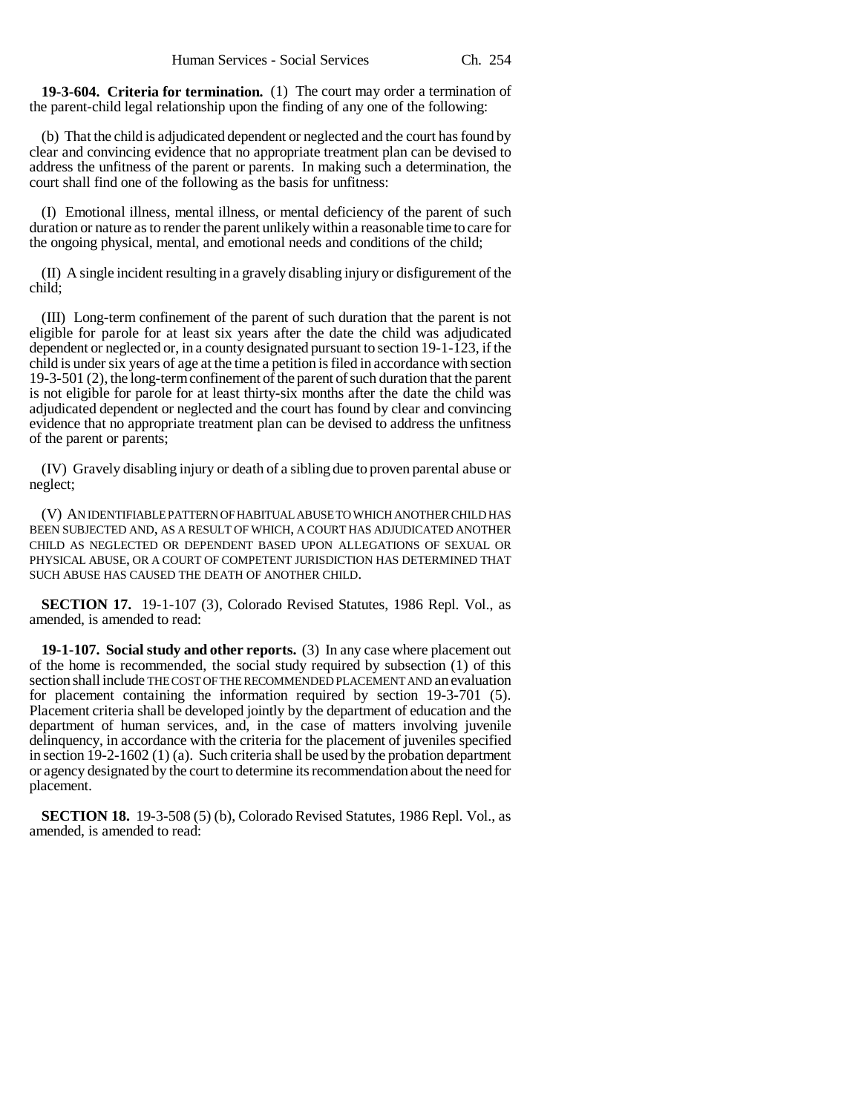**19-3-604. Criteria for termination.** (1) The court may order a termination of the parent-child legal relationship upon the finding of any one of the following:

(b) That the child is adjudicated dependent or neglected and the court has found by clear and convincing evidence that no appropriate treatment plan can be devised to address the unfitness of the parent or parents. In making such a determination, the court shall find one of the following as the basis for unfitness:

(I) Emotional illness, mental illness, or mental deficiency of the parent of such duration or nature as to render the parent unlikely within a reasonable time to care for the ongoing physical, mental, and emotional needs and conditions of the child;

(II) A single incident resulting in a gravely disabling injury or disfigurement of the child;

(III) Long-term confinement of the parent of such duration that the parent is not eligible for parole for at least six years after the date the child was adjudicated dependent or neglected or, in a county designated pursuant to section 19-1-123, if the child is under six years of age at the time a petition is filed in accordance with section 19-3-501 (2), the long-term confinement of the parent of such duration that the parent is not eligible for parole for at least thirty-six months after the date the child was adjudicated dependent or neglected and the court has found by clear and convincing evidence that no appropriate treatment plan can be devised to address the unfitness of the parent or parents;

(IV) Gravely disabling injury or death of a sibling due to proven parental abuse or neglect;

(V) AN IDENTIFIABLE PATTERN OF HABITUAL ABUSE TO WHICH ANOTHER CHILD HAS BEEN SUBJECTED AND, AS A RESULT OF WHICH, A COURT HAS ADJUDICATED ANOTHER CHILD AS NEGLECTED OR DEPENDENT BASED UPON ALLEGATIONS OF SEXUAL OR PHYSICAL ABUSE, OR A COURT OF COMPETENT JURISDICTION HAS DETERMINED THAT SUCH ABUSE HAS CAUSED THE DEATH OF ANOTHER CHILD.

**SECTION 17.** 19-1-107 (3), Colorado Revised Statutes, 1986 Repl. Vol., as amended, is amended to read:

**19-1-107. Social study and other reports.** (3) In any case where placement out of the home is recommended, the social study required by subsection (1) of this section shall include THE COST OF THE RECOMMENDED PLACEMENT AND an evaluation for placement containing the information required by section 19-3-701 (5). Placement criteria shall be developed jointly by the department of education and the department of human services, and, in the case of matters involving juvenile delinquency, in accordance with the criteria for the placement of juveniles specified in section  $19-2-1602(1)$  (a). Such criteria shall be used by the probation department or agency designated by the court to determine its recommendation about the need for placement.

**SECTION 18.** 19-3-508 (5) (b), Colorado Revised Statutes, 1986 Repl. Vol., as amended, is amended to read: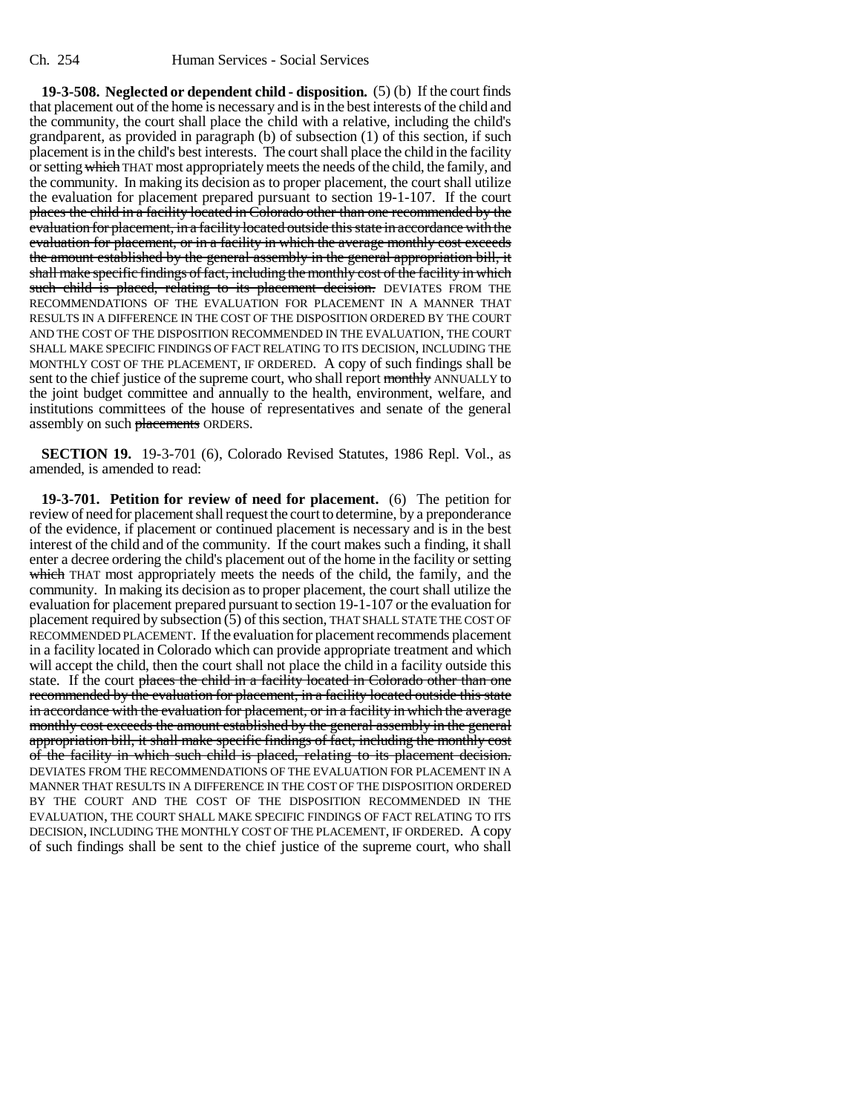**19-3-508. Neglected or dependent child - disposition.** (5) (b) If the court finds that placement out of the home is necessary and is in the best interests of the child and the community, the court shall place the child with a relative, including the child's grandparent, as provided in paragraph (b) of subsection (1) of this section, if such placement is in the child's best interests. The court shall place the child in the facility or setting which THAT most appropriately meets the needs of the child, the family, and the community. In making its decision as to proper placement, the court shall utilize the evaluation for placement prepared pursuant to section 19-1-107. If the court places the child in a facility located in Colorado other than one recommended by the evaluation for placement, in a facility located outside this state in accordance with the evaluation for placement, or in a facility in which the average monthly cost exceeds the amount established by the general assembly in the general appropriation bill, it shall make specific findings of fact, including the monthly cost of the facility in which such child is placed, relating to its placement decision. DEVIATES FROM THE RECOMMENDATIONS OF THE EVALUATION FOR PLACEMENT IN A MANNER THAT RESULTS IN A DIFFERENCE IN THE COST OF THE DISPOSITION ORDERED BY THE COURT AND THE COST OF THE DISPOSITION RECOMMENDED IN THE EVALUATION, THE COURT SHALL MAKE SPECIFIC FINDINGS OF FACT RELATING TO ITS DECISION, INCLUDING THE MONTHLY COST OF THE PLACEMENT, IF ORDERED. A copy of such findings shall be sent to the chief justice of the supreme court, who shall report monthly ANNUALLY to the joint budget committee and annually to the health, environment, welfare, and institutions committees of the house of representatives and senate of the general assembly on such placements ORDERS.

**SECTION 19.** 19-3-701 (6), Colorado Revised Statutes, 1986 Repl. Vol., as amended, is amended to read:

**19-3-701. Petition for review of need for placement.** (6) The petition for review of need for placement shall request the court to determine, by a preponderance of the evidence, if placement or continued placement is necessary and is in the best interest of the child and of the community. If the court makes such a finding, it shall enter a decree ordering the child's placement out of the home in the facility or setting which THAT most appropriately meets the needs of the child, the family, and the community. In making its decision as to proper placement, the court shall utilize the evaluation for placement prepared pursuant to section 19-1-107 or the evaluation for placement required by subsection (5) of this section, THAT SHALL STATE THE COST OF RECOMMENDED PLACEMENT. If the evaluation for placement recommends placement in a facility located in Colorado which can provide appropriate treatment and which will accept the child, then the court shall not place the child in a facility outside this state. If the court places the child in a facility located in Colorado other than one recommended by the evaluation for placement, in a facility located outside this state in accordance with the evaluation for placement, or in a facility in which the average monthly cost exceeds the amount established by the general assembly in the general appropriation bill, it shall make specific findings of fact, including the monthly cost of the facility in which such child is placed, relating to its placement decision. DEVIATES FROM THE RECOMMENDATIONS OF THE EVALUATION FOR PLACEMENT IN A MANNER THAT RESULTS IN A DIFFERENCE IN THE COST OF THE DISPOSITION ORDERED BY THE COURT AND THE COST OF THE DISPOSITION RECOMMENDED IN THE EVALUATION, THE COURT SHALL MAKE SPECIFIC FINDINGS OF FACT RELATING TO ITS DECISION, INCLUDING THE MONTHLY COST OF THE PLACEMENT, IF ORDERED. A copy of such findings shall be sent to the chief justice of the supreme court, who shall